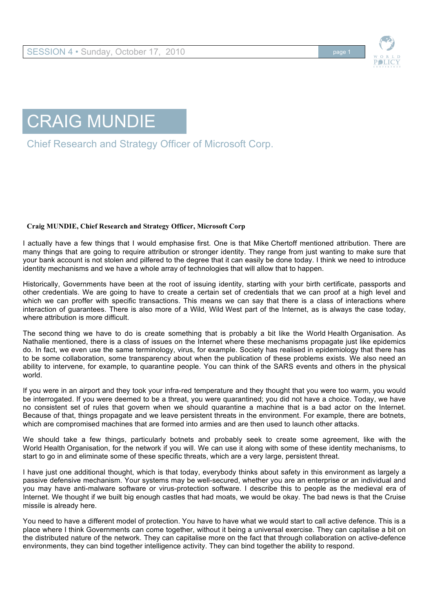



Chief Research and Strategy Officer of Microsoft Corp.

## **Craig MUNDIE, Chief Research and Strategy Officer, Microsoft Corp**

I actually have a few things that I would emphasise first. One is that Mike Chertoff mentioned attribution. There are many things that are going to require attribution or stronger identity. They range from just wanting to make sure that your bank account is not stolen and pilfered to the degree that it can easily be done today. I think we need to introduce identity mechanisms and we have a whole array of technologies that will allow that to happen.

Historically, Governments have been at the root of issuing identity, starting with your birth certificate, passports and other credentials. We are going to have to create a certain set of credentials that we can proof at a high level and which we can proffer with specific transactions. This means we can say that there is a class of interactions where interaction of guarantees. There is also more of a Wild, Wild West part of the Internet, as is always the case today, where attribution is more difficult.

The second thing we have to do is create something that is probably a bit like the World Health Organisation. As Nathalie mentioned, there is a class of issues on the Internet where these mechanisms propagate just like epidemics do. In fact, we even use the same terminology, virus, for example. Society has realised in epidemiology that there has to be some collaboration, some transparency about when the publication of these problems exists. We also need an ability to intervene, for example, to quarantine people. You can think of the SARS events and others in the physical world.

If you were in an airport and they took your infra-red temperature and they thought that you were too warm, you would be interrogated. If you were deemed to be a threat, you were quarantined; you did not have a choice. Today, we have no consistent set of rules that govern when we should quarantine a machine that is a bad actor on the Internet. Because of that, things propagate and we leave persistent threats in the environment. For example, there are botnets, which are compromised machines that are formed into armies and are then used to launch other attacks.

We should take a few things, particularly botnets and probably seek to create some agreement, like with the World Health Organisation, for the network if you will. We can use it along with some of these identity mechanisms, to start to go in and eliminate some of these specific threats, which are a very large, persistent threat.

I have just one additional thought, which is that today, everybody thinks about safety in this environment as largely a passive defensive mechanism. Your systems may be well-secured, whether you are an enterprise or an individual and you may have anti-malware software or virus-protection software. I describe this to people as the medieval era of Internet. We thought if we built big enough castles that had moats, we would be okay. The bad news is that the Cruise missile is already here.

You need to have a different model of protection. You have to have what we would start to call active defence. This is a place where I think Governments can come together, without it being a universal exercise. They can capitalise a bit on the distributed nature of the network. They can capitalise more on the fact that through collaboration on active-defence environments, they can bind together intelligence activity. They can bind together the ability to respond.